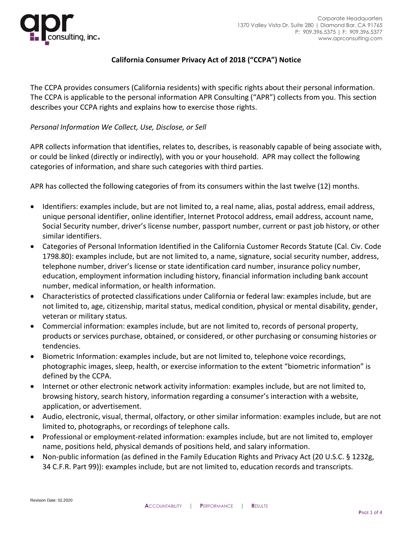

# **California Consumer Privacy Act of 2018 ("CCPA") Notice**

The CCPA provides consumers (California residents) with specific rights about their personal information. The CCPA is applicable to the personal information APR Consulting ("APR") collects from you. This section describes your CCPA rights and explains how to exercise those rights.

### *Personal Information We Collect, Use, Disclose, or Sell*

APR collects information that identifies, relates to, describes, is reasonably capable of being associate with, or could be linked (directly or indirectly), with you or your household. APR may collect the following categories of information, and share such categories with third parties.

APR has collected the following categories of from its consumers within the last twelve (12) months.

- Identifiers: examples include, but are not limited to, a real name, alias, postal address, email address, unique personal identifier, online identifier, Internet Protocol address, email address, account name, Social Security number, driver's license number, passport number, current or past job history, or other similar identifiers.
- Categories of Personal Information Identified in the California Customer Records Statute (Cal. Civ. Code 1798.80): examples include, but are not limited to, a name, signature, social security number, address, telephone number, driver's license or state identification card number, insurance policy number, education, employment information including history, financial information including bank account number, medical information, or health information.
- Characteristics of protected classifications under California or federal law: examples include, but are not limited to, age, citizenship, marital status, medical condition, physical or mental disability, gender, veteran or military status.
- Commercial information: examples include, but are not limited to, records of personal property, products or services purchase, obtained, or considered, or other purchasing or consuming histories or tendencies.
- Biometric Information: examples include, but are not limited to, telephone voice recordings, photographic images, sleep, health, or exercise information to the extent "biometric information" is defined by the CCPA.
- Internet or other electronic network activity information: examples include, but are not limited to, browsing history, search history, information regarding a consumer's interaction with a website, application, or advertisement.
- Audio, electronic, visual, thermal, olfactory, or other similar information: examples include, but are not limited to, photographs, or recordings of telephone calls.
- Professional or employment-related information: examples include, but are not limited to, employer name, positions held, physical demands of positions held, and salary information.
- Non-public information (as defined in the Family Education Rights and Privacy Act (20 U.S.C. § 1232g, 34 C.F.R. Part 99)): examples include, but are not limited to, education records and transcripts.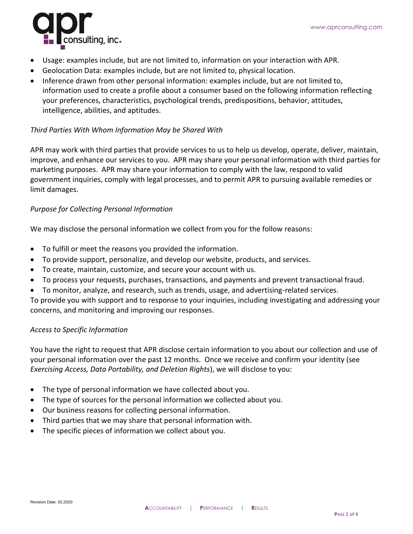

- Usage: examples include, but are not limited to, information on your interaction with APR.
- Geolocation Data: examples include, but are not limited to, physical location.
- Inference drawn from other personal information: examples include, but are not limited to, information used to create a profile about a consumer based on the following information reflecting your preferences, characteristics, psychological trends, predispositions, behavior, attitudes, intelligence, abilities, and aptitudes.

### *Third Parties With Whom Information May be Shared With*

APR may work with third parties that provide services to us to help us develop, operate, deliver, maintain, improve, and enhance our services to you. APR may share your personal information with third parties for marketing purposes. APR may share your information to comply with the law, respond to valid government inquiries, comply with legal processes, and to permit APR to pursuing available remedies or limit damages.

# *Purpose for Collecting Personal Information*

We may disclose the personal information we collect from you for the follow reasons:

- To fulfill or meet the reasons you provided the information.
- To provide support, personalize, and develop our website, products, and services.
- To create, maintain, customize, and secure your account with us.
- To process your requests, purchases, transactions, and payments and prevent transactional fraud.
- To monitor, analyze, and research, such as trends, usage, and advertising-related services.

To provide you with support and to response to your inquiries, including investigating and addressing your concerns, and monitoring and improving our responses.

#### *Access to Specific Information*

You have the right to request that APR disclose certain information to you about our collection and use of your personal information over the past 12 months. Once we receive and confirm your identity (see *Exercising Access, Data Portability, and Deletion Rights*), we will disclose to you:

- The type of personal information we have collected about you.
- The type of sources for the personal information we collected about you.
- Our business reasons for collecting personal information.
- Third parties that we may share that personal information with.
- The specific pieces of information we collect about you.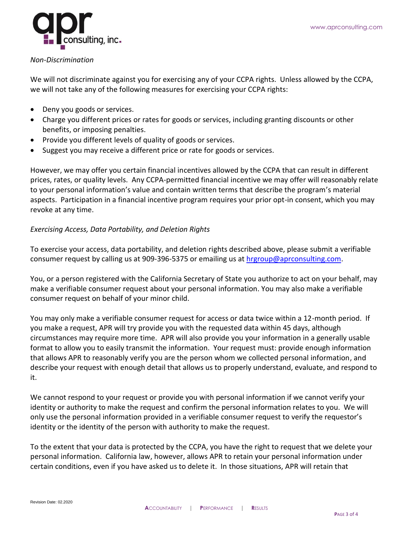

#### *Non-Discrimination*

We will not discriminate against you for exercising any of your CCPA rights. Unless allowed by the CCPA, we will not take any of the following measures for exercising your CCPA rights:

- Deny you goods or services.
- Charge you different prices or rates for goods or services, including granting discounts or other benefits, or imposing penalties.
- Provide you different levels of quality of goods or services.
- Suggest you may receive a different price or rate for goods or services.

However, we may offer you certain financial incentives allowed by the CCPA that can result in different prices, rates, or quality levels. Any CCPA-permitted financial incentive we may offer will reasonably relate to your personal information's value and contain written terms that describe the program's material aspects. Participation in a financial incentive program requires your prior opt-in consent, which you may revoke at any time.

# *Exercising Access, Data Portability, and Deletion Rights*

To exercise your access, data portability, and deletion rights described above, please submit a verifiable consumer request by calling us at 909-396-5375 or emailing us at [hrgroup@aprconsulting.com.](mailto:hrgroup@aprconsulting.com)

You, or a person registered with the California Secretary of State you authorize to act on your behalf, may make a verifiable consumer request about your personal information. You may also make a verifiable consumer request on behalf of your minor child.

You may only make a verifiable consumer request for access or data twice within a 12-month period. If you make a request, APR will try provide you with the requested data within 45 days, although circumstances may require more time. APR will also provide you your information in a generally usable format to allow you to easily transmit the information. Your request must: provide enough information that allows APR to reasonably verify you are the person whom we collected personal information, and describe your request with enough detail that allows us to properly understand, evaluate, and respond to it.

We cannot respond to your request or provide you with personal information if we cannot verify your identity or authority to make the request and confirm the personal information relates to you. We will only use the personal information provided in a verifiable consumer request to verify the requestor's identity or the identity of the person with authority to make the request.

To the extent that your data is protected by the CCPA, you have the right to request that we delete your personal information. California law, however, allows APR to retain your personal information under certain conditions, even if you have asked us to delete it. In those situations, APR will retain that